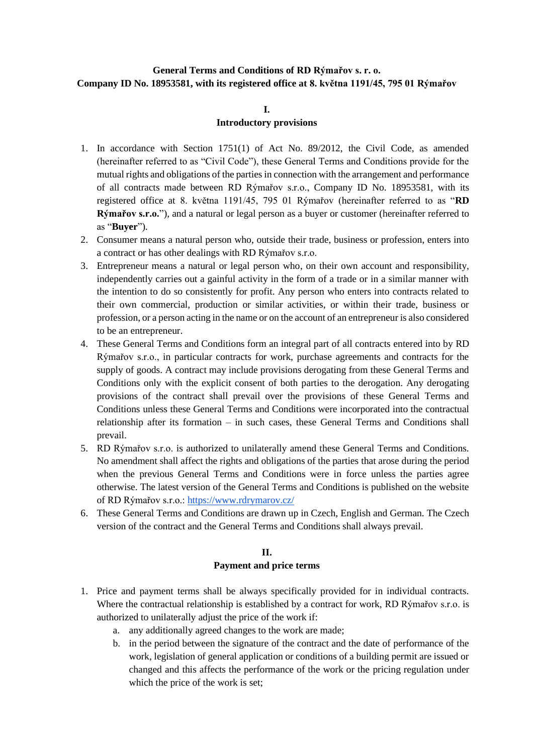# **General Terms and Conditions of RD Rýmařov s. r. o. Company ID No. 18953581, with its registered office at 8. května 1191/45, 795 01 Rýmařov**

#### **I.**

## **Introductory provisions**

- 1. In accordance with Section 1751(1) of Act No. 89/2012, the Civil Code, as amended (hereinafter referred to as "Civil Code"), these General Terms and Conditions provide for the mutual rights and obligations of the parties in connection with the arrangement and performance of all contracts made between RD Rýmařov s.r.o., Company ID No. 18953581, with its registered office at 8. května 1191/45, 795 01 Rýmařov (hereinafter referred to as "**RD Rýmařov s.r.o.**"), and a natural or legal person as a buyer or customer (hereinafter referred to as "**Buyer**").
- 2. Consumer means a natural person who, outside their trade, business or profession, enters into a contract or has other dealings with RD Rýmařov s.r.o.
- 3. Entrepreneur means a natural or legal person who, on their own account and responsibility, independently carries out a gainful activity in the form of a trade or in a similar manner with the intention to do so consistently for profit. Any person who enters into contracts related to their own commercial, production or similar activities, or within their trade, business or profession, or a person acting in the name or on the account of an entrepreneur is also considered to be an entrepreneur.
- 4. These General Terms and Conditions form an integral part of all contracts entered into by RD Rýmařov s.r.o., in particular contracts for work, purchase agreements and contracts for the supply of goods. A contract may include provisions derogating from these General Terms and Conditions only with the explicit consent of both parties to the derogation. Any derogating provisions of the contract shall prevail over the provisions of these General Terms and Conditions unless these General Terms and Conditions were incorporated into the contractual relationship after its formation – in such cases, these General Terms and Conditions shall prevail.
- 5. RD Rýmařov s.r.o. is authorized to unilaterally amend these General Terms and Conditions. No amendment shall affect the rights and obligations of the parties that arose during the period when the previous General Terms and Conditions were in force unless the parties agree otherwise. The latest version of the General Terms and Conditions is published on the website of RD Rýmařov s.r.o.:<https://www.rdrymarov.cz/>
- 6. These General Terms and Conditions are drawn up in Czech, English and German. The Czech version of the contract and the General Terms and Conditions shall always prevail.

## **II. Payment and price terms**

- 1. Price and payment terms shall be always specifically provided for in individual contracts. Where the contractual relationship is established by a contract for work, RD Rýmařov s.r.o. is authorized to unilaterally adjust the price of the work if:
	- a. any additionally agreed changes to the work are made;
	- b. in the period between the signature of the contract and the date of performance of the work, legislation of general application or conditions of a building permit are issued or changed and this affects the performance of the work or the pricing regulation under which the price of the work is set;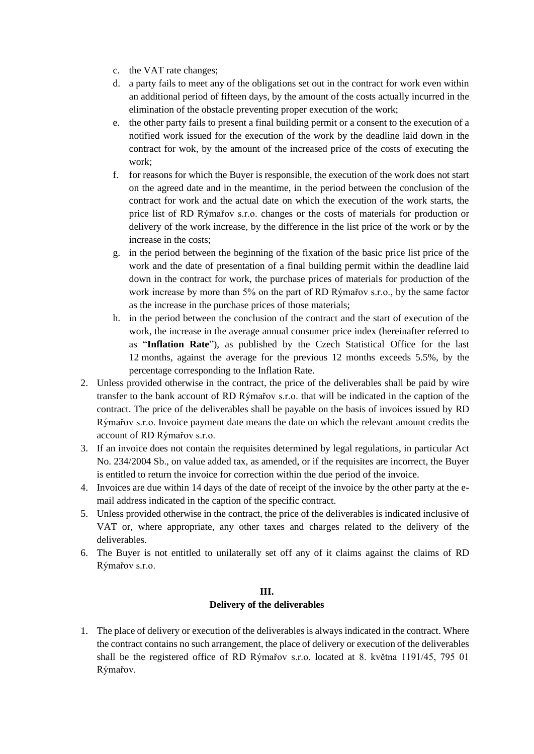- c. the VAT rate changes;
- d. a party fails to meet any of the obligations set out in the contract for work even within an additional period of fifteen days, by the amount of the costs actually incurred in the elimination of the obstacle preventing proper execution of the work;
- e. the other party fails to present a final building permit or a consent to the execution of a notified work issued for the execution of the work by the deadline laid down in the contract for wok, by the amount of the increased price of the costs of executing the work;
- f. for reasons for which the Buyer is responsible, the execution of the work does not start on the agreed date and in the meantime, in the period between the conclusion of the contract for work and the actual date on which the execution of the work starts, the price list of RD Rýmařov s.r.o. changes or the costs of materials for production or delivery of the work increase, by the difference in the list price of the work or by the increase in the costs;
- g. in the period between the beginning of the fixation of the basic price list price of the work and the date of presentation of a final building permit within the deadline laid down in the contract for work, the purchase prices of materials for production of the work increase by more than 5% on the part of RD Rýmařov s.r.o., by the same factor as the increase in the purchase prices of those materials;
- h. in the period between the conclusion of the contract and the start of execution of the work, the increase in the average annual consumer price index (hereinafter referred to as "**Inflation Rate**"), as published by the Czech Statistical Office for the last 12 months, against the average for the previous 12 months exceeds 5.5%, by the percentage corresponding to the Inflation Rate.
- 2. Unless provided otherwise in the contract, the price of the deliverables shall be paid by wire transfer to the bank account of RD Rýmařov s.r.o. that will be indicated in the caption of the contract. The price of the deliverables shall be payable on the basis of invoices issued by RD Rýmařov s.r.o. Invoice payment date means the date on which the relevant amount credits the account of RD Rýmařov s.r.o.
- 3. If an invoice does not contain the requisites determined by legal regulations, in particular Act No. 234/2004 Sb., on value added tax, as amended, or if the requisites are incorrect, the Buyer is entitled to return the invoice for correction within the due period of the invoice.
- 4. Invoices are due within 14 days of the date of receipt of the invoice by the other party at the email address indicated in the caption of the specific contract.
- 5. Unless provided otherwise in the contract, the price of the deliverables is indicated inclusive of VAT or, where appropriate, any other taxes and charges related to the delivery of the deliverables.
- 6. The Buyer is not entitled to unilaterally set off any of it claims against the claims of RD Rýmařov s.r.o.

#### **III.**

#### **Delivery of the deliverables**

1. The place of delivery or execution of the deliverables is always indicated in the contract. Where the contract contains no such arrangement, the place of delivery or execution of the deliverables shall be the registered office of RD Rýmařov s.r.o. located at 8. května 1191/45, 795 01 Rýmařov.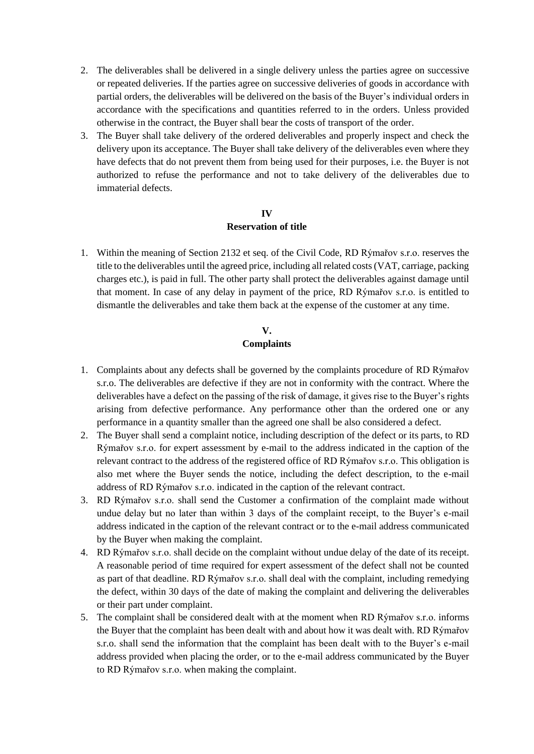- 2. The deliverables shall be delivered in a single delivery unless the parties agree on successive or repeated deliveries. If the parties agree on successive deliveries of goods in accordance with partial orders, the deliverables will be delivered on the basis of the Buyer's individual orders in accordance with the specifications and quantities referred to in the orders. Unless provided otherwise in the contract, the Buyer shall bear the costs of transport of the order.
- 3. The Buyer shall take delivery of the ordered deliverables and properly inspect and check the delivery upon its acceptance. The Buyer shall take delivery of the deliverables even where they have defects that do not prevent them from being used for their purposes, i.e. the Buyer is not authorized to refuse the performance and not to take delivery of the deliverables due to immaterial defects.

#### **IV**

#### **Reservation of title**

1. Within the meaning of Section 2132 et seq. of the Civil Code, RD Rýmařov s.r.o. reserves the title to the deliverables until the agreed price, including all related costs (VAT, carriage, packing charges etc.), is paid in full. The other party shall protect the deliverables against damage until that moment. In case of any delay in payment of the price, RD Rýmařov s.r.o. is entitled to dismantle the deliverables and take them back at the expense of the customer at any time.

## **V.**

## **Complaints**

- 1. Complaints about any defects shall be governed by the complaints procedure of RD Rýmařov s.r.o. The deliverables are defective if they are not in conformity with the contract. Where the deliverables have a defect on the passing of the risk of damage, it gives rise to the Buyer's rights arising from defective performance. Any performance other than the ordered one or any performance in a quantity smaller than the agreed one shall be also considered a defect.
- 2. The Buyer shall send a complaint notice, including description of the defect or its parts, to RD Rýmařov s.r.o. for expert assessment by e-mail to the address indicated in the caption of the relevant contract to the address of the registered office of RD Rýmařov s.r.o. This obligation is also met where the Buyer sends the notice, including the defect description, to the e-mail address of RD Rýmařov s.r.o. indicated in the caption of the relevant contract.
- 3. RD Rýmařov s.r.o. shall send the Customer a confirmation of the complaint made without undue delay but no later than within 3 days of the complaint receipt, to the Buyer's e-mail address indicated in the caption of the relevant contract or to the e-mail address communicated by the Buyer when making the complaint.
- 4. RD Rýmařov s.r.o. shall decide on the complaint without undue delay of the date of its receipt. A reasonable period of time required for expert assessment of the defect shall not be counted as part of that deadline. RD Rýmařov s.r.o. shall deal with the complaint, including remedying the defect, within 30 days of the date of making the complaint and delivering the deliverables or their part under complaint.
- 5. The complaint shall be considered dealt with at the moment when RD Rýmařov s.r.o. informs the Buyer that the complaint has been dealt with and about how it was dealt with. RD Rýmařov s.r.o. shall send the information that the complaint has been dealt with to the Buyer's e-mail address provided when placing the order, or to the e-mail address communicated by the Buyer to RD Rýmařov s.r.o. when making the complaint.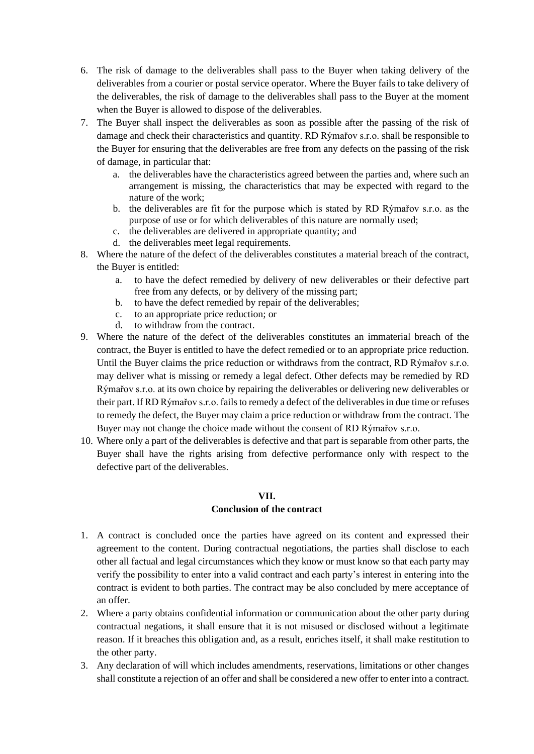- 6. The risk of damage to the deliverables shall pass to the Buyer when taking delivery of the deliverables from a courier or postal service operator. Where the Buyer fails to take delivery of the deliverables, the risk of damage to the deliverables shall pass to the Buyer at the moment when the Buyer is allowed to dispose of the deliverables.
- 7. The Buyer shall inspect the deliverables as soon as possible after the passing of the risk of damage and check their characteristics and quantity. RD Rýmařov s.r.o. shall be responsible to the Buyer for ensuring that the deliverables are free from any defects on the passing of the risk of damage, in particular that:
	- a. the deliverables have the characteristics agreed between the parties and, where such an arrangement is missing, the characteristics that may be expected with regard to the nature of the work;
	- b. the deliverables are fit for the purpose which is stated by RD Rýmařov s.r.o. as the purpose of use or for which deliverables of this nature are normally used;
	- c. the deliverables are delivered in appropriate quantity; and
	- d. the deliverables meet legal requirements.
- 8. Where the nature of the defect of the deliverables constitutes a material breach of the contract, the Buyer is entitled:
	- a. to have the defect remedied by delivery of new deliverables or their defective part free from any defects, or by delivery of the missing part;
	- b. to have the defect remedied by repair of the deliverables;
	- c. to an appropriate price reduction; or
	- d. to withdraw from the contract.
- 9. Where the nature of the defect of the deliverables constitutes an immaterial breach of the contract, the Buyer is entitled to have the defect remedied or to an appropriate price reduction. Until the Buyer claims the price reduction or withdraws from the contract, RD Rýmařov s.r.o. may deliver what is missing or remedy a legal defect. Other defects may be remedied by RD Rýmařov s.r.o. at its own choice by repairing the deliverables or delivering new deliverables or their part. If RD Rýmařov s.r.o. fails to remedy a defect of the deliverables in due time or refuses to remedy the defect, the Buyer may claim a price reduction or withdraw from the contract. The Buyer may not change the choice made without the consent of RD Rýmařov s.r.o.
- 10. Where only a part of the deliverables is defective and that part is separable from other parts, the Buyer shall have the rights arising from defective performance only with respect to the defective part of the deliverables.

#### **VII.**

## **Conclusion of the contract**

- 1. A contract is concluded once the parties have agreed on its content and expressed their agreement to the content. During contractual negotiations, the parties shall disclose to each other all factual and legal circumstances which they know or must know so that each party may verify the possibility to enter into a valid contract and each party's interest in entering into the contract is evident to both parties. The contract may be also concluded by mere acceptance of an offer.
- 2. Where a party obtains confidential information or communication about the other party during contractual negations, it shall ensure that it is not misused or disclosed without a legitimate reason. If it breaches this obligation and, as a result, enriches itself, it shall make restitution to the other party.
- 3. Any declaration of will which includes amendments, reservations, limitations or other changes shall constitute a rejection of an offer and shall be considered a new offer to enter into a contract.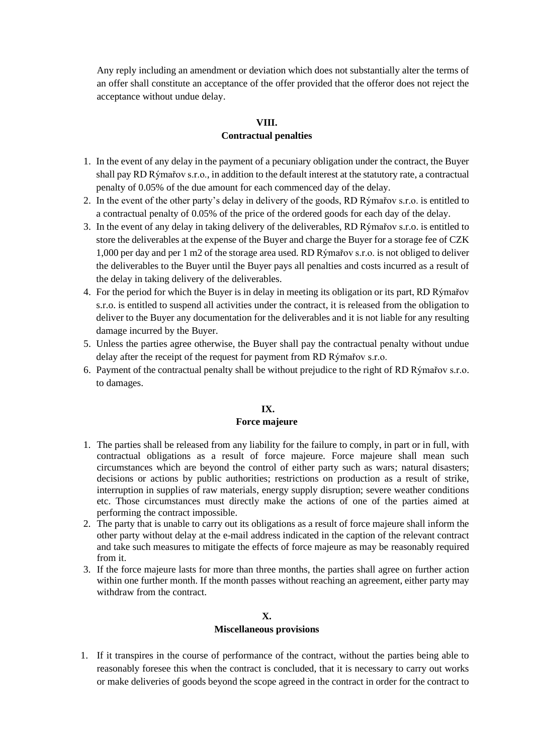Any reply including an amendment or deviation which does not substantially alter the terms of an offer shall constitute an acceptance of the offer provided that the offeror does not reject the acceptance without undue delay.

#### **VIII.**

## **Contractual penalties**

- 1. In the event of any delay in the payment of a pecuniary obligation under the contract, the Buyer shall pay RD Rýmařov s.r.o., in addition to the default interest at the statutory rate, a contractual penalty of 0.05% of the due amount for each commenced day of the delay.
- 2. In the event of the other party's delay in delivery of the goods, RD Rýmařov s.r.o. is entitled to a contractual penalty of 0.05% of the price of the ordered goods for each day of the delay.
- 3. In the event of any delay in taking delivery of the deliverables, RD Rýmařov s.r.o. is entitled to store the deliverables at the expense of the Buyer and charge the Buyer for a storage fee of CZK 1,000 per day and per 1 m2 of the storage area used. RD Rýmařov s.r.o. is not obliged to deliver the deliverables to the Buyer until the Buyer pays all penalties and costs incurred as a result of the delay in taking delivery of the deliverables.
- 4. For the period for which the Buyer is in delay in meeting its obligation or its part, RD Rýmařov s.r.o. is entitled to suspend all activities under the contract, it is released from the obligation to deliver to the Buyer any documentation for the deliverables and it is not liable for any resulting damage incurred by the Buyer.
- 5. Unless the parties agree otherwise, the Buyer shall pay the contractual penalty without undue delay after the receipt of the request for payment from RD Rýmařov s.r.o.
- 6. Payment of the contractual penalty shall be without prejudice to the right of RD Rýmařov s.r.o. to damages.

# **IX.**

#### **Force majeure**

- 1. The parties shall be released from any liability for the failure to comply, in part or in full, with contractual obligations as a result of force majeure. Force majeure shall mean such circumstances which are beyond the control of either party such as wars; natural disasters; decisions or actions by public authorities; restrictions on production as a result of strike, interruption in supplies of raw materials, energy supply disruption; severe weather conditions etc. Those circumstances must directly make the actions of one of the parties aimed at performing the contract impossible.
- 2. The party that is unable to carry out its obligations as a result of force majeure shall inform the other party without delay at the e-mail address indicated in the caption of the relevant contract and take such measures to mitigate the effects of force majeure as may be reasonably required from it.
- 3. If the force majeure lasts for more than three months, the parties shall agree on further action within one further month. If the month passes without reaching an agreement, either party may withdraw from the contract.

## **X. Miscellaneous provisions**

1. If it transpires in the course of performance of the contract, without the parties being able to reasonably foresee this when the contract is concluded, that it is necessary to carry out works or make deliveries of goods beyond the scope agreed in the contract in order for the contract to